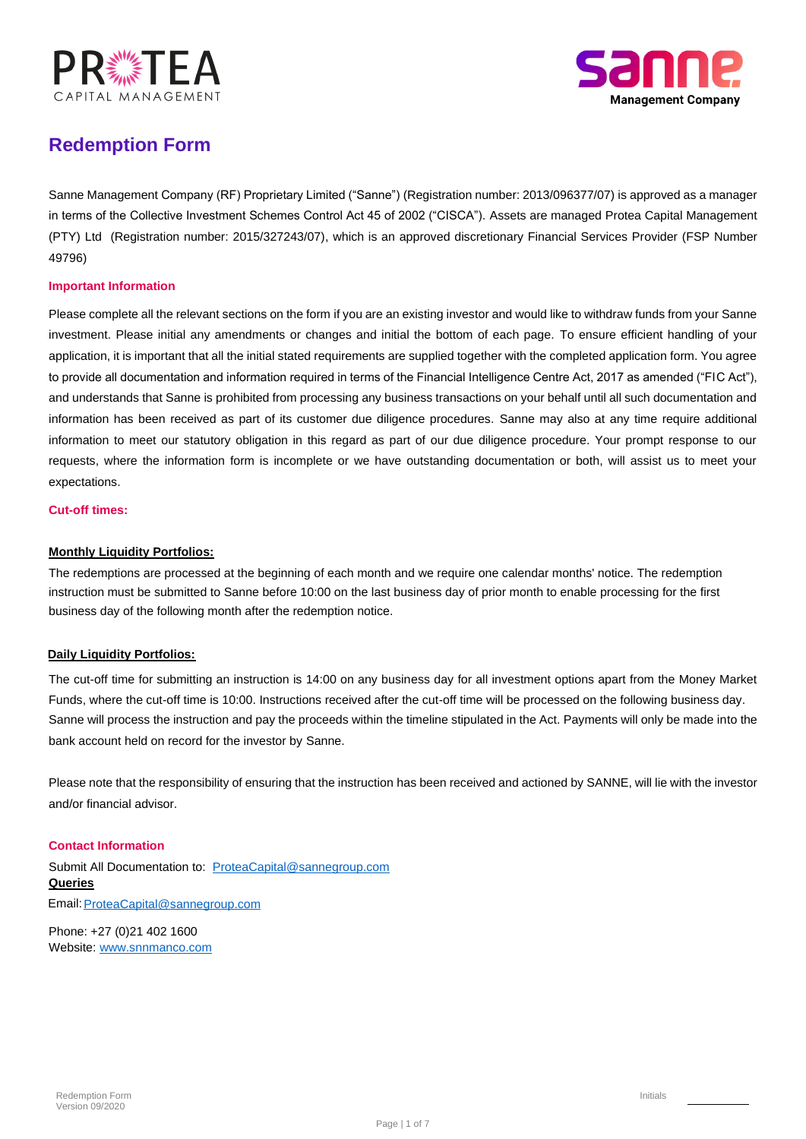



### **Redemption Form**

Sanne Management Company (RF) Proprietary Limited ("Sanne") (Registration number: 2013/096377/07) is approved as a manager in terms of the Collective Investment Schemes Control Act 45 of 2002 ("CISCA"). Assets are managed Protea Capital Management (PTY) Ltd (Registration number: 2015/327243/07), which is an approved discretionary Financial Services Provider (FSP Number 49796)

### **Important Information**

Please complete all the relevant sections on the form if you are an existing investor and would like to withdraw funds from your Sanne investment. Please initial any amendments or changes and initial the bottom of each page. To ensure efficient handling of your application, it is important that all the initial stated requirements are supplied together with the completed application form. You agree to provide all documentation and information required in terms of the Financial Intelligence Centre Act, 2017 as amended ("FIC Act"), and understands that Sanne is prohibited from processing any business transactions on your behalf until all such documentation and information has been received as part of its customer due diligence procedures. Sanne may also at any time require additional information to meet our statutory obligation in this regard as part of our due diligence procedure. Your prompt response to our requests, where the information form is incomplete or we have outstanding documentation or both, will assist us to meet your expectations.

#### **Cut-off times:**

### **Monthly Liquidity Portfolios:**

The redemptions are processed at the beginning of each month and we require one calendar months' notice. The redemption instruction must be submitted to Sanne before 10:00 on the last business day of prior month to enable processing for the first business day of the following month after the redemption notice.

### **Daily Liquidity Portfolios:**

Sanne will process the instruction and pay the proceeds within the timeline stipulated in the Act. Payments will only be made into the bank account held on record for the investor by Sanne. The cut-off time for submitting an instruction is 14:00 on any business day for all investment options apart from the Money Market Funds, where the cut-off time is 10:00. Instructions received after the cut-off time will be processed on the following business day.

Please note that the responsibility of ensuring that the instruction has been received and actioned by SANNE, will lie with the investor and/or financial advisor.

### **Contact Information**

Submit All Documentation to: ProteaCapital@sannegroup.com **Queries** Email: ProteaCapital@sannegroup.com

Phone: +27 (0)21 402 1600 Website: www.snnmanco.com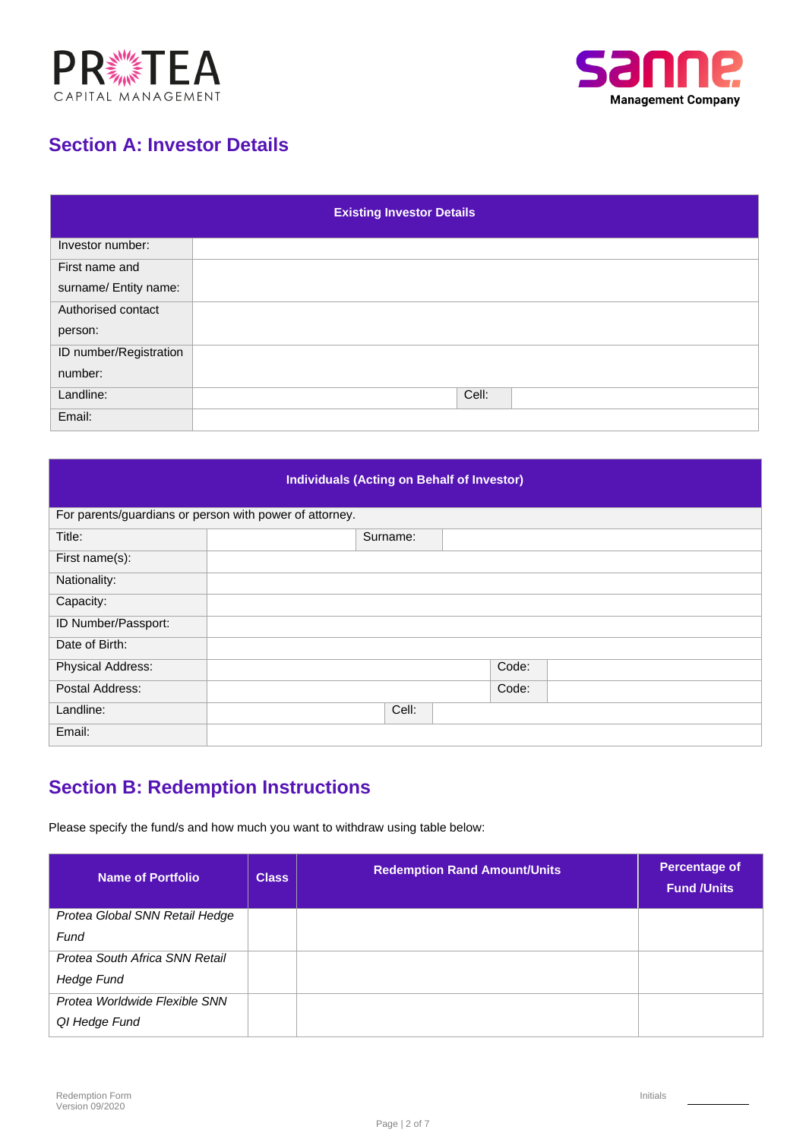



## **Section A: Investor Details**

| <b>Existing Investor Details</b> |       |  |  |  |
|----------------------------------|-------|--|--|--|
| Investor number:                 |       |  |  |  |
| First name and                   |       |  |  |  |
| surname/ Entity name:            |       |  |  |  |
| Authorised contact               |       |  |  |  |
| person:                          |       |  |  |  |
| ID number/Registration           |       |  |  |  |
| number:                          |       |  |  |  |
| Landline:                        | Cell: |  |  |  |
| Email:                           |       |  |  |  |

### **Individuals (Acting on Behalf of Investor)**

| For parents/guardians or person with power of attorney. |          |       |
|---------------------------------------------------------|----------|-------|
| Title:                                                  | Surname: |       |
| First name(s):                                          |          |       |
| Nationality:                                            |          |       |
| Capacity:                                               |          |       |
| ID Number/Passport:                                     |          |       |
| Date of Birth:                                          |          |       |
| <b>Physical Address:</b>                                |          | Code: |
| Postal Address:                                         |          | Code: |
| Landline:                                               | Cell:    |       |
| Email:                                                  |          |       |

# **Section B: Redemption Instructions**

Please specify the fund/s and how much you want to withdraw using table below:

| <b>Name of Portfolio</b>       | <b>Class</b> | <b>Redemption Rand Amount/Units</b> | Percentage of<br><b>Fund /Units</b> |
|--------------------------------|--------------|-------------------------------------|-------------------------------------|
| Protea Global SNN Retail Hedge |              |                                     |                                     |
| Fund                           |              |                                     |                                     |
| Protea South Africa SNN Retail |              |                                     |                                     |
| Hedge Fund                     |              |                                     |                                     |
| Protea Worldwide Flexible SNN  |              |                                     |                                     |
| QI Hedge Fund                  |              |                                     |                                     |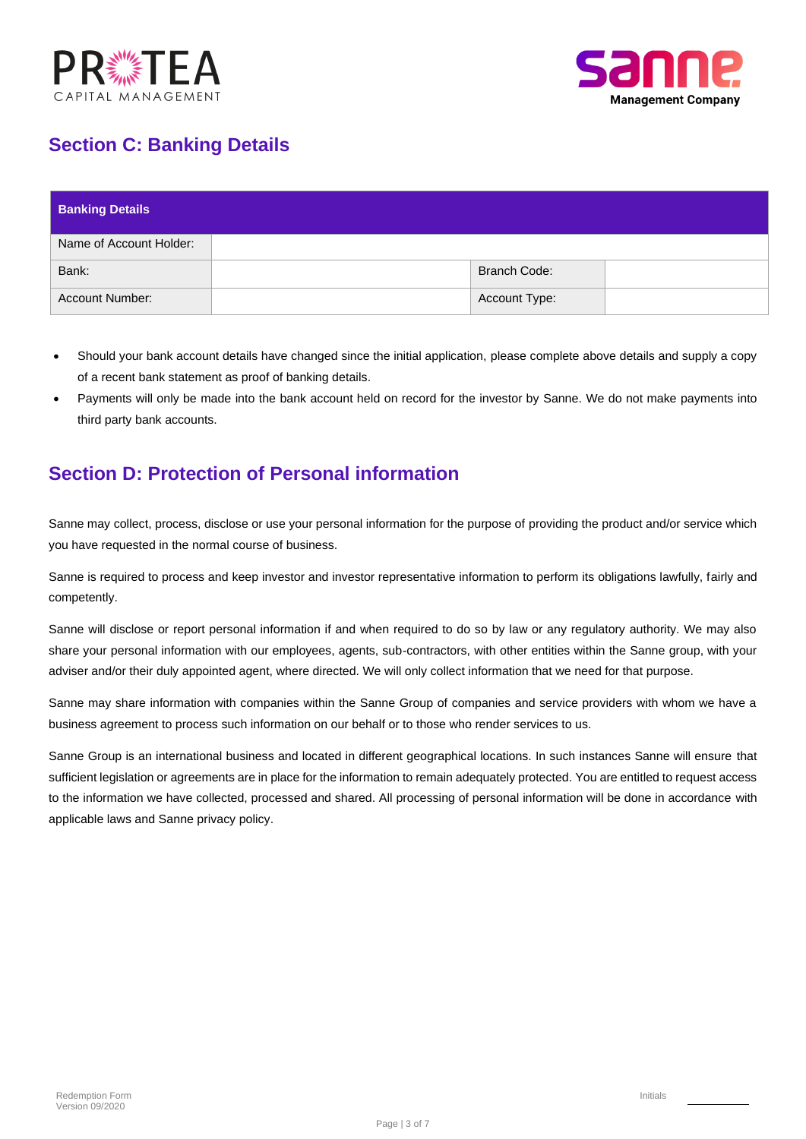



# **Section C: Banking Details**

| <b>Banking Details</b>  |                     |  |
|-------------------------|---------------------|--|
| Name of Account Holder: |                     |  |
| Bank:                   | <b>Branch Code:</b> |  |
| <b>Account Number:</b>  | Account Type:       |  |

- Should your bank account details have changed since the initial application, please complete above details and supply a copy of a recent bank statement as proof of banking details.
- Payments will only be made into the bank account held on record for the investor by Sanne. We do not make payments into third party bank accounts.

### **Section D: Protection of Personal information**

Sanne may collect, process, disclose or use your personal information for the purpose of providing the product and/or service which you have requested in the normal course of business.

Sanne is required to process and keep investor and investor representative information to perform its obligations lawfully, fairly and competently.

Sanne will disclose or report personal information if and when required to do so by law or any regulatory authority. We may also share your personal information with our employees, agents, sub-contractors, with other entities within the Sanne group, with your adviser and/or their duly appointed agent, where directed. We will only collect information that we need for that purpose.

Sanne may share information with companies within the Sanne Group of companies and service providers with whom we have a business agreement to process such information on our behalf or to those who render services to us.

Sanne Group is an international business and located in different geographical locations. In such instances Sanne will ensure that sufficient legislation or agreements are in place for the information to remain adequately protected. You are entitled to request access to the information we have collected, processed and shared. All processing of personal information will be done in accordance with applicable laws and Sanne privacy policy.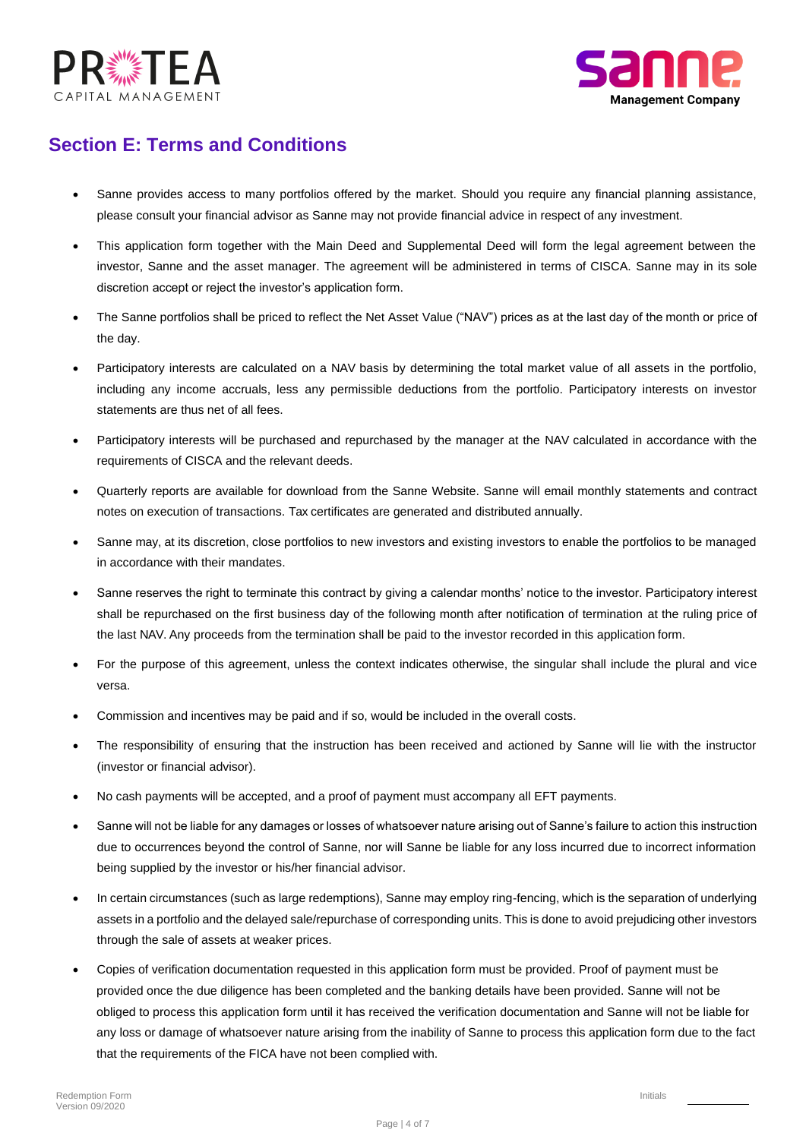



### **Section E: Terms and Conditions**

- Sanne provides access to many portfolios offered by the market. Should you require any financial planning assistance, please consult your financial advisor as Sanne may not provide financial advice in respect of any investment.
- This application form together with the Main Deed and Supplemental Deed will form the legal agreement between the investor, Sanne and the asset manager. The agreement will be administered in terms of CISCA. Sanne may in its sole discretion accept or reject the investor's application form.
- The Sanne portfolios shall be priced to reflect the Net Asset Value ("NAV") prices as at the last day of the month or price of the day.
- Participatory interests are calculated on a NAV basis by determining the total market value of all assets in the portfolio, including any income accruals, less any permissible deductions from the portfolio. Participatory interests on investor statements are thus net of all fees.
- Participatory interests will be purchased and repurchased by the manager at the NAV calculated in accordance with the requirements of CISCA and the relevant deeds.
- Quarterly reports are available for download from the Sanne Website. Sanne will email monthly statements and contract notes on execution of transactions. Tax certificates are generated and distributed annually.
- Sanne may, at its discretion, close portfolios to new investors and existing investors to enable the portfolios to be managed in accordance with their mandates.
- Sanne reserves the right to terminate this contract by giving a calendar months' notice to the investor. Participatory interest shall be repurchased on the first business day of the following month after notification of termination at the ruling price of the last NAV. Any proceeds from the termination shall be paid to the investor recorded in this application form.
- For the purpose of this agreement, unless the context indicates otherwise, the singular shall include the plural and vice versa.
- Commission and incentives may be paid and if so, would be included in the overall costs.
- The responsibility of ensuring that the instruction has been received and actioned by Sanne will lie with the instructor (investor or financial advisor).
- No cash payments will be accepted, and a proof of payment must accompany all EFT payments.
- Sanne will not be liable for any damages or losses of whatsoever nature arising out of Sanne's failure to action this instruction due to occurrences beyond the control of Sanne, nor will Sanne be liable for any loss incurred due to incorrect information being supplied by the investor or his/her financial advisor.
- In certain circumstances (such as large redemptions), Sanne may employ ring-fencing, which is the separation of underlying assets in a portfolio and the delayed sale/repurchase of corresponding units. This is done to avoid prejudicing other investors through the sale of assets at weaker prices.
- Copies of verification documentation requested in this application form must be provided. Proof of payment must be provided once the due diligence has been completed and the banking details have been provided. Sanne will not be obliged to process this application form until it has received the verification documentation and Sanne will not be liable for any loss or damage of whatsoever nature arising from the inability of Sanne to process this application form due to the fact that the requirements of the FICA have not been complied with.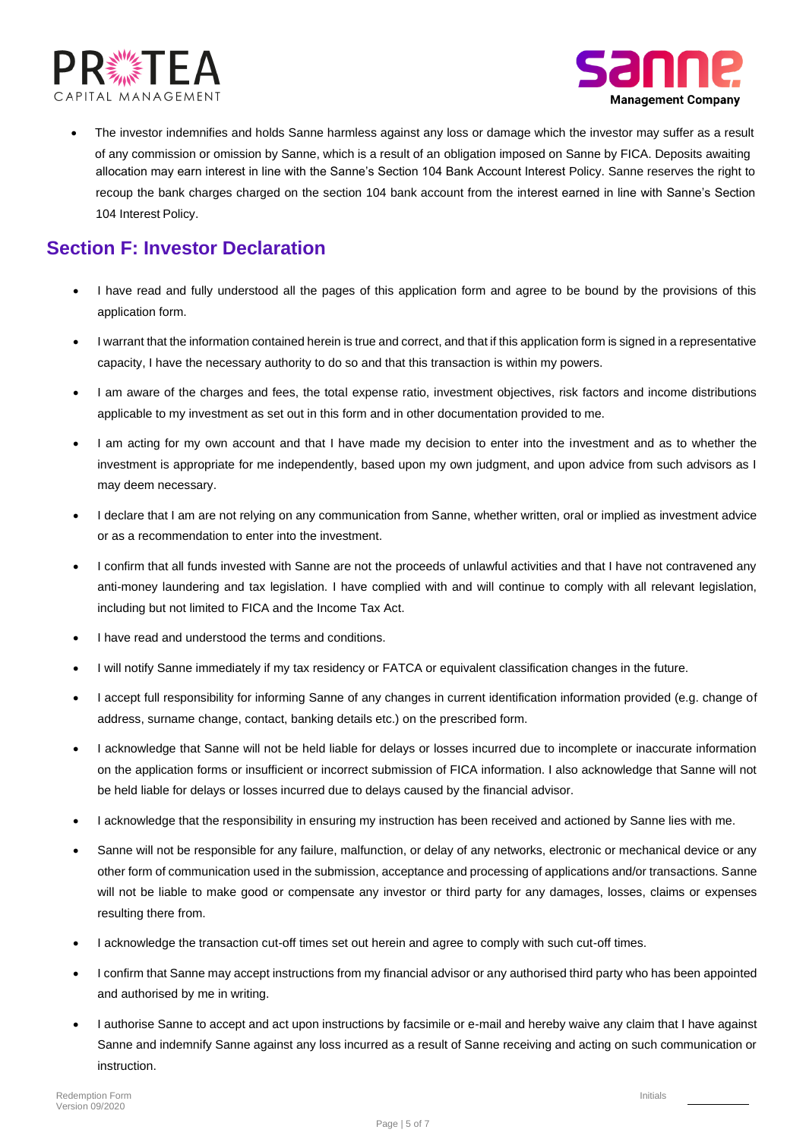



allocation may earn interest in line with the Sanne's Section 104 Bank Account Interest Policy. Sanne reserves the right to recoup the bank charges charged on the section 104 bank account from the interest earned in line with Sanne's Section 104 Interest Policy. • The investor indemnifies and holds Sanne harmless against any loss or damage which the investor may suffer as a result of any commission or omission by Sanne, which is a result of an obligation imposed on Sanne by FICA. Deposits awaiting

### **Section F: Investor Declaration**

- I have read and fully understood all the pages of this application form and agree to be bound by the provisions of this application form.
- I warrant that the information contained herein is true and correct, and that if this application form is signed in a representative capacity, I have the necessary authority to do so and that this transaction is within my powers.
- I am aware of the charges and fees, the total expense ratio, investment objectives, risk factors and income distributions applicable to my investment as set out in this form and in other documentation provided to me.
- I am acting for my own account and that I have made my decision to enter into the investment and as to whether the investment is appropriate for me independently, based upon my own judgment, and upon advice from such advisors as I may deem necessary.
- I declare that I am are not relying on any communication from Sanne, whether written, oral or implied as investment advice or as a recommendation to enter into the investment.
- I confirm that all funds invested with Sanne are not the proceeds of unlawful activities and that I have not contravened any anti-money laundering and tax legislation. I have complied with and will continue to comply with all relevant legislation, including but not limited to FICA and the Income Tax Act.
- I have read and understood the terms and conditions.
- I will notify Sanne immediately if my tax residency or FATCA or equivalent classification changes in the future.
- I accept full responsibility for informing Sanne of any changes in current identification information provided (e.g. change of address, surname change, contact, banking details etc.) on the prescribed form.
- I acknowledge that Sanne will not be held liable for delays or losses incurred due to incomplete or inaccurate information on the application forms or insufficient or incorrect submission of FICA information. I also acknowledge that Sanne will not be held liable for delays or losses incurred due to delays caused by the financial advisor.
- I acknowledge that the responsibility in ensuring my instruction has been received and actioned by Sanne lies with me.
- Sanne will not be responsible for any failure, malfunction, or delay of any networks, electronic or mechanical device or any other form of communication used in the submission, acceptance and processing of applications and/or transactions. Sanne will not be liable to make good or compensate any investor or third party for any damages, losses, claims or expenses resulting there from.
- I acknowledge the transaction cut-off times set out herein and agree to comply with such cut-off times.
- I confirm that Sanne may accept instructions from my financial advisor or any authorised third party who has been appointed and authorised by me in writing.
- I authorise Sanne to accept and act upon instructions by facsimile or e-mail and hereby waive any claim that I have against Sanne and indemnify Sanne against any loss incurred as a result of Sanne receiving and acting on such communication or instruction.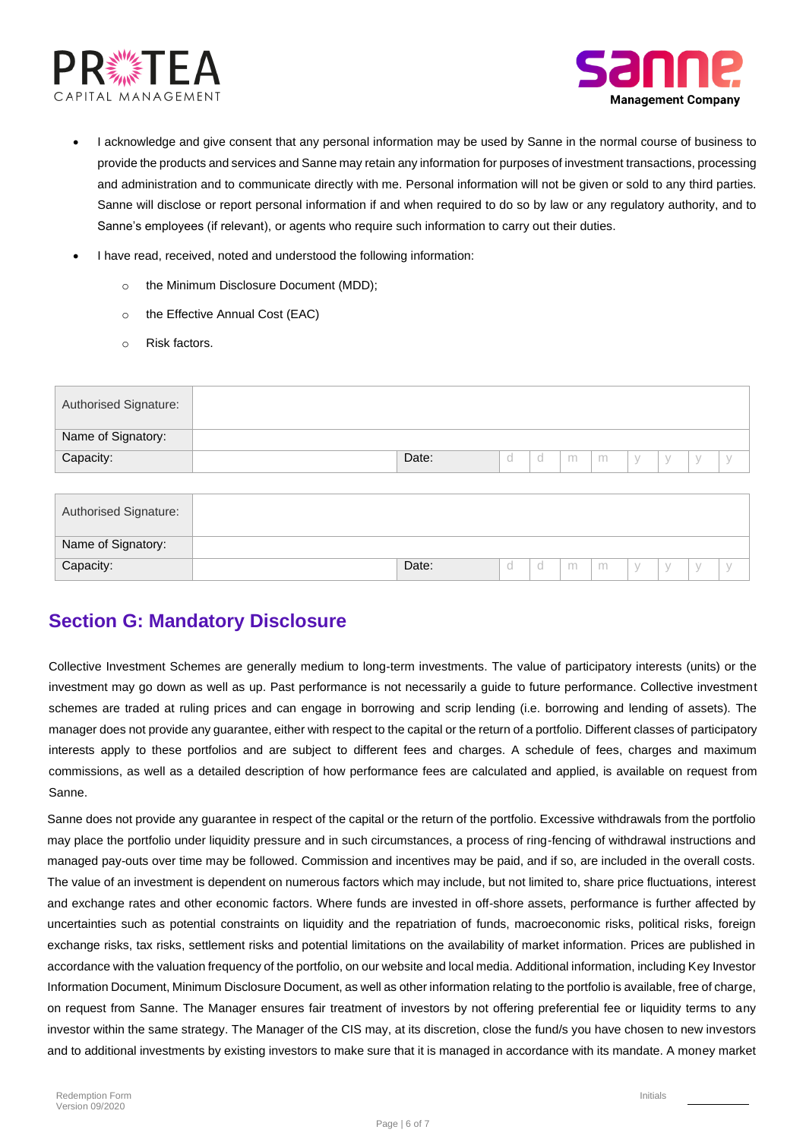



- I acknowledge and give consent that any personal information may be used by Sanne in the normal course of business to provide the products and services and Sanne may retain any information for purposes of investment transactions, processing and administration and to communicate directly with me. Personal information will not be given or sold to any third parties. Sanne will disclose or report personal information if and when required to do so by law or any regulatory authority, and to Sanne's employees (if relevant), or agents who require such information to carry out their duties.
- I have read, received, noted and understood the following information:
	- o the Minimum Disclosure Document (MDD);
	- o the Effective Annual Cost (EAC)
	- o Risk factors.

| Authorised Signature: |       |  |   |   |  |               |  |
|-----------------------|-------|--|---|---|--|---------------|--|
| Name of Signatory:    |       |  |   |   |  |               |  |
| Capacity:             | Date: |  | m | m |  | $\mathcal{N}$ |  |
|                       |       |  |   |   |  |               |  |

| <b>Authorised Signature:</b> |       |  |   |   |  |  |
|------------------------------|-------|--|---|---|--|--|
| Name of Signatory:           |       |  |   |   |  |  |
| Capacity:                    | Date: |  | m | m |  |  |

### **Section G: Mandatory Disclosure**

Collective Investment Schemes are generally medium to long-term investments. The value of participatory interests (units) or the investment may go down as well as up. Past performance is not necessarily a guide to future performance. Collective investment schemes are traded at ruling prices and can engage in borrowing and scrip lending (i.e. borrowing and lending of assets). The manager does not provide any guarantee, either with respect to the capital or the return of a portfolio. Different classes of participatory interests apply to these portfolios and are subject to different fees and charges. A schedule of fees, charges and maximum commissions, as well as a detailed description of how performance fees are calculated and applied, is available on request from Sanne.

Sanne does not provide any guarantee in respect of the capital or the return of the portfolio. Excessive withdrawals from the portfolio may place the portfolio under liquidity pressure and in such circumstances, a process of ring-fencing of withdrawal instructions and managed pay-outs over time may be followed. Commission and incentives may be paid, and if so, are included in the overall costs. The value of an investment is dependent on numerous factors which may include, but not limited to, share price fluctuations, interest and exchange rates and other economic factors. Where funds are invested in off-shore assets, performance is further affected by uncertainties such as potential constraints on liquidity and the repatriation of funds, macroeconomic risks, political risks, foreign exchange risks, tax risks, settlement risks and potential limitations on the availability of market information. Prices are published in accordance with the valuation frequency of the portfolio, on our website and local media. Additional information, including Key Investor Information Document, Minimum Disclosure Document, as well as other information relating to the portfolio is available, free of charge, on request from Sanne. The Manager ensures fair treatment of investors by not offering preferential fee or liquidity terms to any investor within the same strategy. The Manager of the CIS may, at its discretion, close the fund/s you have chosen to new investors and to additional investments by existing investors to make sure that it is managed in accordance with its mandate. A money market